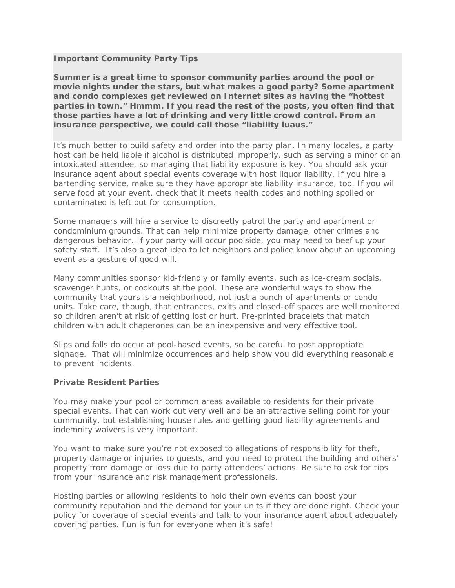## **Important Community Party Tips**

**Summer is a great time to sponsor community parties around the pool or movie nights under the stars, but what makes a good party? Some apartment and condo complexes get reviewed on Internet sites as having the "hottest parties in town." Hmmm. If you read the rest of the posts, you often find that those parties have a lot of drinking and very little crowd control. From an insurance perspective, we could call those "liability luaus."**

It's much better to build safety and order into the party plan. In many locales, a party host can be held liable if alcohol is distributed improperly, such as serving a minor or an intoxicated attendee, so managing that liability exposure is key. You should ask your insurance agent about special events coverage with host liquor liability. If you hire a bartending service, make sure they have appropriate liability insurance, too. If you will serve food at your event, check that it meets health codes and nothing spoiled or contaminated is left out for consumption.

Some managers will hire a service to discreetly patrol the party and apartment or condominium grounds. That can help minimize property damage, other crimes and dangerous behavior. If your party will occur poolside, you may need to beef up your safety staff. It's also a great idea to let neighbors and police know about an upcoming event as a gesture of good will.

Many communities sponsor kid-friendly or family events, such as ice-cream socials, scavenger hunts, or cookouts at the pool. These are wonderful ways to show the community that yours is a neighborhood, not just a bunch of apartments or condo units. Take care, though, that entrances, exits and closed-off spaces are well monitored so children aren't at risk of getting lost or hurt. Pre-printed bracelets that match children with adult chaperones can be an inexpensive and very effective tool.

Slips and falls do occur at pool-based events, so be careful to post appropriate signage. That will minimize occurrences and help show you did everything reasonable to prevent incidents.

## **Private Resident Parties**

You may make your pool or common areas available to residents for their private special events. That can work out very well and be an attractive selling point for your community, but establishing house rules and getting good liability agreements and indemnity waivers is very important.

You want to make sure you're not exposed to allegations of responsibility for theft, property damage or injuries to guests, and you need to protect the building and others' property from damage or loss due to party attendees' actions. Be sure to ask for tips from your insurance and risk management professionals.

Hosting parties or allowing residents to hold their own events can boost your community reputation and the demand for your units if they are done right. Check your policy for coverage of special events and talk to your insurance agent about adequately covering parties. Fun is fun for everyone when it's safe!